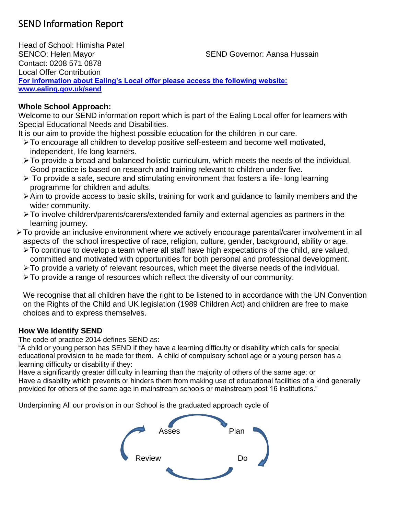# SEND Information Report

Head of School: Himisha Patel SENCO: Helen Mayor SEND Governor: Aansa Hussain Contact: 0208 571 0878 Local Offer Contribution **For information about Ealing's Local offer please access the following website: www.ealing.gov.uk/send**

# **Whole School Approach:**

Welcome to our SEND information report which is part of the Ealing Local offer for learners with Special Educational Needs and Disabilities.

It is our aim to provide the highest possible education for the children in our care.

- ➢To encourage all children to develop positive self-esteem and become well motivated, independent, life long learners.
- ➢To provide a broad and balanced holistic curriculum, which meets the needs of the individual. Good practice is based on research and training relevant to children under five.
- ➢ To provide a safe, secure and stimulating environment that fosters a life- long learning programme for children and adults.
- ➢Aim to provide access to basic skills, training for work and guidance to family members and the wider community.
- ➢To involve children/parents/carers/extended family and external agencies as partners in the learning journey.
- ➢To provide an inclusive environment where we actively encourage parental/carer involvement in all aspects of the school irrespective of race, religion, culture, gender, background, ability or age.
	- ➢To continue to develop a team where all staff have high expectations of the child, are valued, committed and motivated with opportunities for both personal and professional development.
	- ➢To provide a variety of relevant resources, which meet the diverse needs of the individual.
	- ➢To provide a range of resources which reflect the diversity of our community.

We recognise that all children have the right to be listened to in accordance with the UN Convention on the Rights of the Child and UK legislation (1989 Children Act) and children are free to make choices and to express themselves.

# **How We Identify SEND**

The code of practice 2014 defines SEND as:

"A child or young person has SEND if they have a learning difficulty or disability which calls for special educational provision to be made for them. A child of compulsory school age or a young person has a learning difficulty or disability if they:

Have a significantly greater difficulty in learning than the majority of others of the same age: or Have a disability which prevents or hinders them from making use of educational facilities of a kind generally provided for others of the same age in mainstream schools or mainstream post 16 institutions."

Underpinning All our provision in our School is the graduated approach cycle of

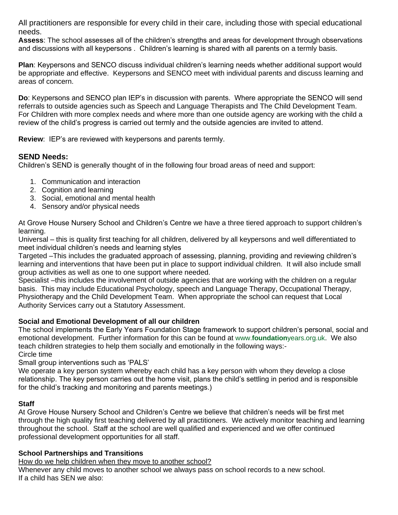All practitioners are responsible for every child in their care, including those with special educational needs.

**Assess**: The school assesses all of the children's strengths and areas for development through observations and discussions with all keypersons . Children's learning is shared with all parents on a termly basis.

**Plan**: Keypersons and SENCO discuss individual children's learning needs whether additional support would be appropriate and effective. Keypersons and SENCO meet with individual parents and discuss learning and areas of concern.

**Do**: Keypersons and SENCO plan IEP's in discussion with parents. Where appropriate the SENCO will send referrals to outside agencies such as Speech and Language Therapists and The Child Development Team. For Children with more complex needs and where more than one outside agency are working with the child a review of the child's progress is carried out termly and the outside agencies are invited to attend.

**Review**: IEP's are reviewed with keypersons and parents termly.

# **SEND Needs:**

Children's SEND is generally thought of in the following four broad areas of need and support:

- 1. Communication and interaction
- 2. Cognition and learning
- 3. Social, emotional and mental health
- 4. Sensory and/or physical needs

At Grove House Nursery School and Children's Centre we have a three tiered approach to support children's learning.

Universal – this is quality first teaching for all children, delivered by all keypersons and well differentiated to meet individual children's needs and learning styles

Targeted –This includes the graduated approach of assessing, planning, providing and reviewing children's learning and interventions that have been put in place to support individual children. It will also include small group activities as well as one to one support where needed.

Specialist –this includes the involvement of outside agencies that are working with the children on a regular basis. This may include Educational Psychology, speech and Language Therapy, Occupational Therapy, Physiotherapy and the Child Development Team. When appropriate the school can request that Local Authority Services carry out a Statutory Assessment.

#### **Social and Emotional Development of all our children**

The school implements the Early Years Foundation Stage framework to support children's personal, social and emotional development. Further information for this can be found at www.**foundation**years.org.uk. We also teach children strategies to help them socially and emotionally in the following ways:- Circle time

Small group interventions such as 'PALS'

We operate a key person system whereby each child has a key person with whom they develop a close relationship. The key person carries out the home visit, plans the child's settling in period and is responsible for the child's tracking and monitoring and parents meetings.)

#### **Staff**

At Grove House Nursery School and Children's Centre we believe that children's needs will be first met through the high quality first teaching delivered by all practitioners. We actively monitor teaching and learning throughout the school. Staff at the school are well qualified and experienced and we offer continued professional development opportunities for all staff.

#### **School Partnerships and Transitions**

How do we help children when they move to another school?

Whenever any child moves to another school we always pass on school records to a new school. If a child has SEN we also: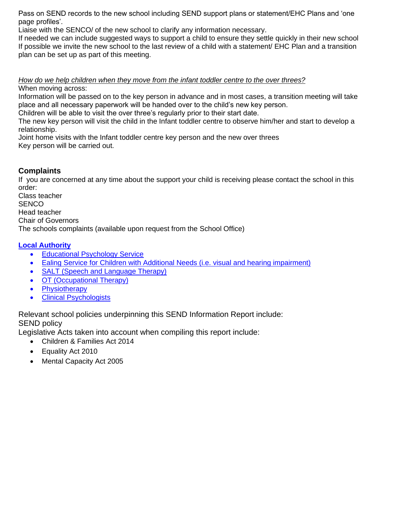Pass on SEND records to the new school including SEND support plans or statement/EHC Plans and 'one page profiles'.

Liaise with the SENCO/ of the new school to clarify any information necessary.

If needed we can include suggested ways to support a child to ensure they settle quickly in their new school If possible we invite the new school to the last review of a child with a statement/ EHC Plan and a transition plan can be set up as part of this meeting.

# *How do we help children when they move from the infant toddler centre to the over threes?*

When moving across:

Information will be passed on to the key person in advance and in most cases, a transition meeting will take place and all necessary paperwork will be handed over to the child's new key person.

Children will be able to visit the over three's regularly prior to their start date.

The new key person will visit the child in the Infant toddler centre to observe him/her and start to develop a relationship.

Joint home visits with the Infant toddler centre key person and the new over threes Key person will be carried out.

# **Complaints**

If you are concerned at any time about the support your child is receiving please contact the school in this order:

Class teacher **SENCO** Head teacher Chair of Governors The schools complaints (available upon request from the School Office)

#### **Local Authority**

- Educational Psychology Service
- Ealing Service for Children with Additional Needs (i.e. visual and hearing impairment)
- SALT (Speech and Language Therapy)
- OT (Occupational Therapy)
- Physiotherapy
- Clinical Psychologists

Relevant school policies underpinning this SEND Information Report include: SEND policy

Legislative Acts taken into account when compiling this report include:

- Children & Families Act 2014
- Equality Act 2010
- Mental Capacity Act 2005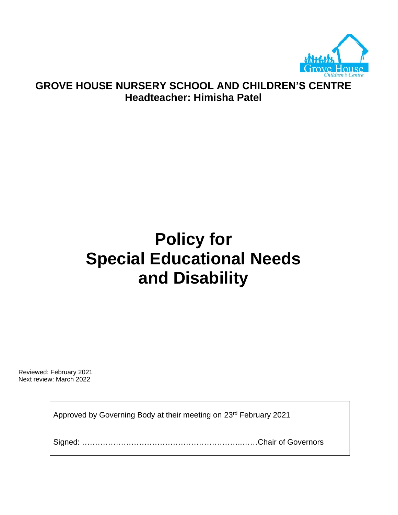

# **GROVE HOUSE NURSERY SCHOOL AND CHILDREN'S CENTRE Headteacher: Himisha Patel**

# **Policy for Special Educational Needs and Disability**

Reviewed: February 2021 Next review: March 2022

Approved by Governing Body at their meeting on 23rd February 2021

Signed: ……………………………………………………..……Chair of Governors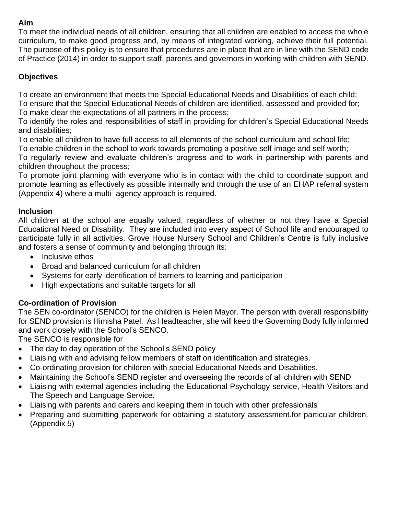# **Aim**

To meet the individual needs of all children, ensuring that all children are enabled to access the whole curriculum, to make good progress and, by means of integrated working, achieve their full potential. The purpose of this policy is to ensure that procedures are in place that are in line with the SEND code of Practice (2014) in order to support staff, parents and governors in working with children with SEND.

# **Objectives**

To create an environment that meets the Special Educational Needs and Disabilities of each child; To ensure that the Special Educational Needs of children are identified, assessed and provided for; To make clear the expectations of all partners in the process;

To identify the roles and responsibilities of staff in providing for children's Special Educational Needs and disabilities;

To enable all children to have full access to all elements of the school curriculum and school life;

To enable children in the school to work towards promoting a positive self-image and self worth;

To regularly review and evaluate children's progress and to work in partnership with parents and children throughout the process;

To promote joint planning with everyone who is in contact with the child to coordinate support and promote learning as effectively as possible internally and through the use of an EHAP referral system (Appendix 4) where a multi- agency approach is required.

#### **Inclusion**

All children at the school are equally valued, regardless of whether or not they have a Special Educational Need or Disability. They are included into every aspect of School life and encouraged to participate fully in all activities. Grove House Nursery School and Children's Centre is fully inclusive and fosters a sense of community and belonging through its:

- Inclusive ethos
- Broad and balanced curriculum for all children
- Systems for early identification of barriers to learning and participation
- High expectations and suitable targets for all

# **Co-ordination of Provision**

The SEN co-ordinator (SENCO) for the children is Helen Mayor. The person with overall responsibility for SEND provision is Himisha Patel. As Headteacher, she will keep the Governing Body fully informed and work closely with the School's SENCO.

The SENCO is responsible for

- The day to day operation of the School's SEND policy
- Liaising with and advising fellow members of staff on identification and strategies.
- Co-ordinating provision for children with special Educational Needs and Disabilities.
- Maintaining the School's SEND register and overseeing the records of all children with SEND
- Liaising with external agencies including the Educational Psychology service, Health Visitors and The Speech and Language Service.
- Liaising with parents and carers and keeping them in touch with other professionals
- Preparing and submitting paperwork for obtaining a statutory assessment.for particular children. (Appendix 5)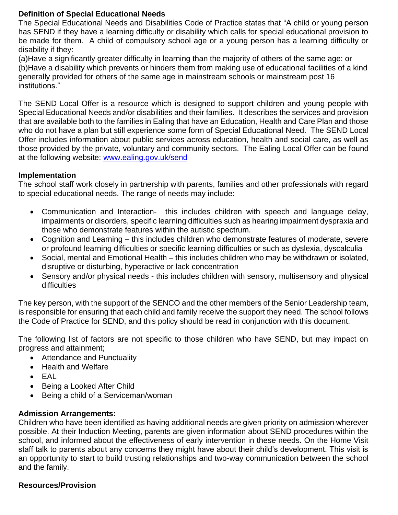#### **Definition of Special Educational Needs**

The Special Educational Needs and Disabilities Code of Practice states that "A child or young person has SEND if they have a learning difficulty or disability which calls for special educational provision to be made for them. A child of compulsory school age or a young person has a learning difficulty or disability if they:

(a)Have a significantly greater difficulty in learning than the majority of others of the same age: or (b)Have a disability which prevents or hinders them from making use of educational facilities of a kind generally provided for others of the same age in mainstream schools or mainstream post 16 institutions."

The SEND Local Offer is a resource which is designed to support children and young people with Special Educational Needs and/or disabilities and their families. It describes the services and provision that are available both to the families in Ealing that have an Education, Health and Care Plan and those who do not have a plan but still experience some form of Special Educational Need. The SEND Local Offer includes information about public services across education, health and social care, as well as those provided by the private, voluntary and community sectors. The Ealing Local Offer can be found at the following website: [www.ealing.gov.uk/send](http://www.ealing.gov.uk/send)

#### **Implementation**

The school staff work closely in partnership with parents, families and other professionals with regard to special educational needs. The range of needs may include:

- Communication and Interaction- this includes children with speech and language delay, impairments or disorders, specific learning difficulties such as hearing impairment dyspraxia and those who demonstrate features within the autistic spectrum.
- Cognition and Learning this includes children who demonstrate features of moderate, severe or profound learning difficulties or specific learning difficulties or such as dyslexia, dyscalculia
- Social, mental and Emotional Health this includes children who may be withdrawn or isolated, disruptive or disturbing, hyperactive or lack concentration
- Sensory and/or physical needs this includes children with sensory, multisensory and physical difficulties

The key person, with the support of the SENCO and the other members of the Senior Leadership team, is responsible for ensuring that each child and family receive the support they need. The school follows the Code of Practice for SEND, and this policy should be read in conjunction with this document.

The following list of factors are not specific to those children who have SEND, but may impact on progress and attainment;

- Attendance and Punctuality
- Health and Welfare
- EAL
- Being a Looked After Child
- Being a child of a Serviceman/woman

#### **Admission Arrangements:**

Children who have been identified as having additional needs are given priority on admission wherever possible. At their Induction Meeting, parents are given information about SEND procedures within the school, and informed about the effectiveness of early intervention in these needs. On the Home Visit staff talk to parents about any concerns they might have about their child's development. This visit is an opportunity to start to build trusting relationships and two-way communication between the school and the family.

#### **Resources/Provision**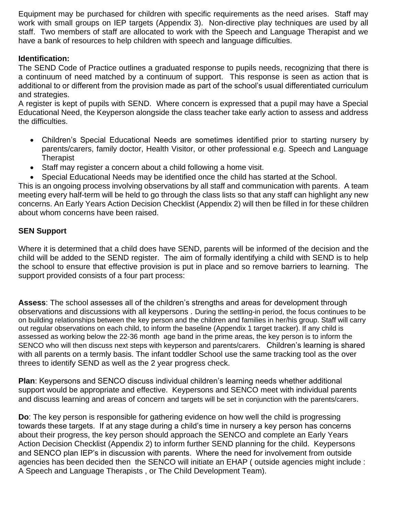Equipment may be purchased for children with specific requirements as the need arises. Staff may work with small groups on IEP targets (Appendix 3). Non-directive play techniques are used by all staff. Two members of staff are allocated to work with the Speech and Language Therapist and we have a bank of resources to help children with speech and language difficulties.

# **Identification:**

The SEND Code of Practice outlines a graduated response to pupils needs, recognizing that there is a continuum of need matched by a continuum of support.This response is seen as action that is additional to or different from the provision made as part of the school's usual differentiated curriculum and strategies.

A register is kept of pupils with SEND. Where concern is expressed that a pupil may have a Special Educational Need, the Keyperson alongside the class teacher take early action to assess and address the difficulties.

- Children's Special Educational Needs are sometimes identified prior to starting nursery by parents/carers, family doctor, Health Visitor, or other professional e.g. Speech and Language **Therapist**
- Staff may register a concern about a child following a home visit.
- Special Educational Needs may be identified once the child has started at the School.

This is an ongoing process involving observations by all staff and communication with parents. A team meeting every half-term will be held to go through the class lists so that any staff can highlight any new concerns. An Early Years Action Decision Checklist (Appendix 2) will then be filled in for these children about whom concerns have been raised.

#### **SEN Support**

Where it is determined that a child does have SEND, parents will be informed of the decision and the child will be added to the SEND register. The aim of formally identifying a child with SEND is to help the school to ensure that effective provision is put in place and so remove barriers to learning. The support provided consists of a four part process:

**Assess**: The school assesses all of the children's strengths and areas for development through observations and discussions with all keypersons . During the settling-in period, the focus continues to be on building relationships between the key person and the children and families in her/his group. Staff will carry out regular observations on each child, to inform the baseline (Appendix 1 target tracker). If any child is assessed as working below the 22-36 month age band in the prime areas, the key person is to inform the SENCO who will then discuss next steps with keyperson and parents/carers. Children's learning is shared with all parents on a termly basis. The infant toddler School use the same tracking tool as the over threes to identify SEND as well as the 2 year progress check.

**Plan**: Keypersons and SENCO discuss individual children's learning needs whether additional support would be appropriate and effective. Keypersons and SENCO meet with individual parents and discuss learning and areas of concern and targets will be set in conjunction with the parents/carers.

**Do**: The key person is responsible for gathering evidence on how well the child is progressing towards these targets. If at any stage during a child's time in nursery a key person has concerns about their progress, the key person should approach the SENCO and complete an Early Years Action Decision Checklist (Appendix 2) to inform further SEND planning for the child. Keypersons and SENCO plan IEP's in discussion with parents. Where the need for involvement from outside agencies has been decided then the SENCO will initiate an EHAP ( outside agencies might include : A Speech and Language Therapists , or The Child Development Team).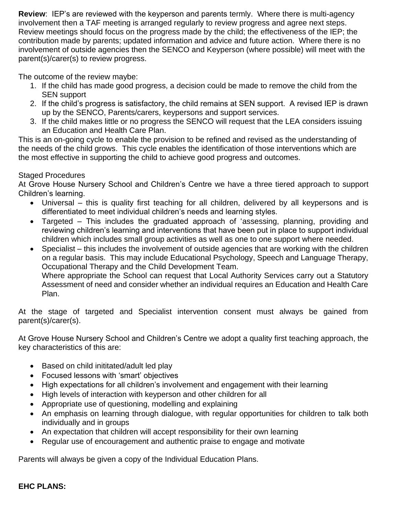**Review**: IEP's are reviewed with the keyperson and parents termly. Where there is multi-agency involvement then a TAF meeting is arranged regularly to review progress and agree next steps. Review meetings should focus on the progress made by the child; the effectiveness of the IEP; the contribution made by parents; updated information and advice and future action. Where there is no involvement of outside agencies then the SENCO and Keyperson (where possible) will meet with the parent(s)/carer(s) to review progress.

The outcome of the review maybe:

- 1. If the child has made good progress, a decision could be made to remove the child from the SEN support
- 2. If the child's progress is satisfactory, the child remains at SEN support. A revised IEP is drawn up by the SENCO, Parents/carers, keypersons and support services.
- 3. If the child makes little or no progress the SENCO will request that the LEA considers issuing an Education and Health Care Plan.

This is an on-going cycle to enable the provision to be refined and revised as the understanding of the needs of the child grows. This cycle enables the identification of those interventions which are the most effective in supporting the child to achieve good progress and outcomes.

# Staged Procedures

At Grove House Nursery School and Children's Centre we have a three tiered approach to support Children's learning.

- Universal this is quality first teaching for all children, delivered by all keypersons and is differentiated to meet individual children's needs and learning styles.
- Targeted This includes the graduated approach of 'assessing, planning, providing and reviewing children's learning and interventions that have been put in place to support individual children which includes small group activities as well as one to one support where needed.
- Specialist this includes the involvement of outside agencies that are working with the children on a regular basis. This may include Educational Psychology, Speech and Language Therapy, Occupational Therapy and the Child Development Team. Where appropriate the School can request that Local Authority Services carry out a Statutory Assessment of need and consider whether an individual requires an Education and Health Care Plan.

At the stage of targeted and Specialist intervention consent must always be gained from parent(s)/carer(s).

At Grove House Nursery School and Children's Centre we adopt a quality first teaching approach, the key characteristics of this are:

- Based on child inititated/adult led play
- Focused lessons with 'smart' objectives
- High expectations for all children's involvement and engagement with their learning
- High levels of interaction with keyperson and other children for all
- Appropriate use of questioning, modelling and explaining
- An emphasis on learning through dialogue, with regular opportunities for children to talk both individually and in groups
- An expectation that children will accept responsibility for their own learning
- Regular use of encouragement and authentic praise to engage and motivate

Parents will always be given a copy of the Individual Education Plans.

# **EHC PLANS:**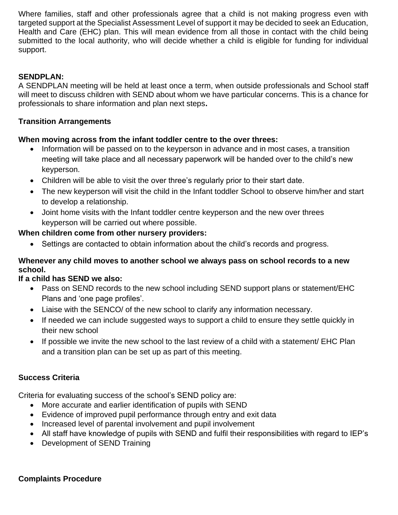Where families, staff and other professionals agree that a child is not making progress even with targeted support at the Specialist Assessment Level of support it may be decided to seek an Education, Health and Care (EHC) plan. This will mean evidence from all those in contact with the child being submitted to the local authority, who will decide whether a child is eligible for funding for individual support.

# **SENDPLAN:**

A SENDPLAN meeting will be held at least once a term, when outside professionals and School staff will meet to discuss children with SEND about whom we have particular concerns. This is a chance for professionals to share information and plan next steps**.**

# **Transition Arrangements**

#### **When moving across from the infant toddler centre to the over threes:**

- Information will be passed on to the keyperson in advance and in most cases, a transition meeting will take place and all necessary paperwork will be handed over to the child's new keyperson.
- Children will be able to visit the over three's regularly prior to their start date.
- The new keyperson will visit the child in the Infant toddler School to observe him/her and start to develop a relationship.
- Joint home visits with the Infant toddler centre keyperson and the new over threes keyperson will be carried out where possible.

#### **When children come from other nursery providers:**

• Settings are contacted to obtain information about the child's records and progress.

# **Whenever any child moves to another school we always pass on school records to a new school.**

#### **If a child has SEND we also:**

- Pass on SEND records to the new school including SEND support plans or statement/EHC Plans and 'one page profiles'.
- Liaise with the SENCO/ of the new school to clarify any information necessary.
- If needed we can include suggested ways to support a child to ensure they settle quickly in their new school
- If possible we invite the new school to the last review of a child with a statement/ EHC Plan and a transition plan can be set up as part of this meeting.

#### **Success Criteria**

Criteria for evaluating success of the school's SEND policy are:

- More accurate and earlier identification of pupils with SEND
- Evidence of improved pupil performance through entry and exit data
- Increased level of parental involvement and pupil involvement
- All staff have knowledge of pupils with SEND and fulfil their responsibilities with regard to IEP's
- Development of SEND Training

#### **Complaints Procedure**